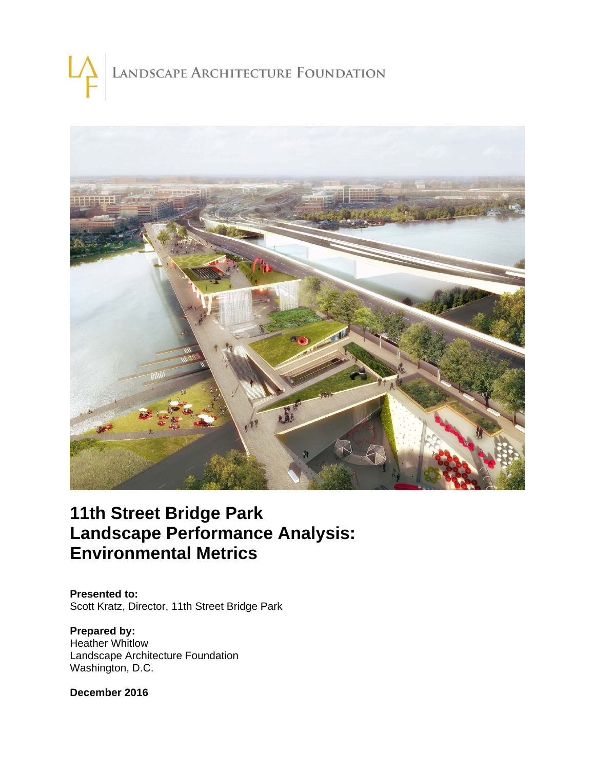# LANDSCAPE ARCHITECTURE FOUNDATION



# **11th Street Bridge Park Landscape Performance Analysis: Environmental Metrics**

**Presented to:**  Scott Kratz, Director, 11th Street Bridge Park

**Prepared by:**  Heather Whitlow Landscape Architecture Foundation Washington, D.C.

**December 2016**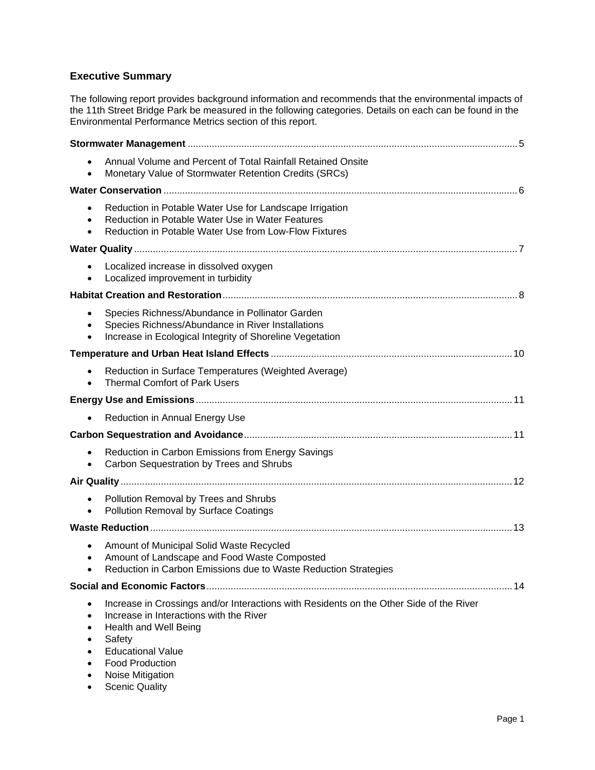# **Executive Summary**

The following report provides background information and recommends that the environmental impacts of the 11th Street Bridge Park be measured in the following categories. Details on each can be found in the Environmental Performance Metrics section of this report.

|                        | Annual Volume and Percent of Total Rainfall Retained Onsite<br>Monetary Value of Stormwater Retention Credits (SRCs)                                                                                                                                                     |
|------------------------|--------------------------------------------------------------------------------------------------------------------------------------------------------------------------------------------------------------------------------------------------------------------------|
|                        |                                                                                                                                                                                                                                                                          |
| $\bullet$              | Reduction in Potable Water Use for Landscape Irrigation<br>Reduction in Potable Water Use in Water Features<br>Reduction in Potable Water Use from Low-Flow Fixtures                                                                                                     |
|                        |                                                                                                                                                                                                                                                                          |
|                        | Localized increase in dissolved oxygen<br>Localized improvement in turbidity                                                                                                                                                                                             |
|                        |                                                                                                                                                                                                                                                                          |
|                        | Species Richness/Abundance in Pollinator Garden<br>Species Richness/Abundance in River Installations<br>Increase in Ecological Integrity of Shoreline Vegetation                                                                                                         |
|                        |                                                                                                                                                                                                                                                                          |
|                        | Reduction in Surface Temperatures (Weighted Average)<br><b>Thermal Comfort of Park Users</b>                                                                                                                                                                             |
|                        |                                                                                                                                                                                                                                                                          |
|                        | Reduction in Annual Energy Use                                                                                                                                                                                                                                           |
|                        |                                                                                                                                                                                                                                                                          |
|                        | Reduction in Carbon Emissions from Energy Savings<br>Carbon Sequestration by Trees and Shrubs                                                                                                                                                                            |
|                        |                                                                                                                                                                                                                                                                          |
|                        | Pollution Removal by Trees and Shrubs<br>Pollution Removal by Surface Coatings                                                                                                                                                                                           |
|                        |                                                                                                                                                                                                                                                                          |
|                        | Amount of Municipal Solid Waste Recycled<br>Amount of Landscape and Food Waste Composted<br>Reduction in Carbon Emissions due to Waste Reduction Strategies                                                                                                              |
|                        |                                                                                                                                                                                                                                                                          |
| $\bullet$<br>$\bullet$ | Increase in Crossings and/or Interactions with Residents on the Other Side of the River<br>Increase in Interactions with the River<br>Health and Well Being<br>Safety<br><b>Educational Value</b><br><b>Food Production</b><br>Noise Mitigation<br><b>Scenic Quality</b> |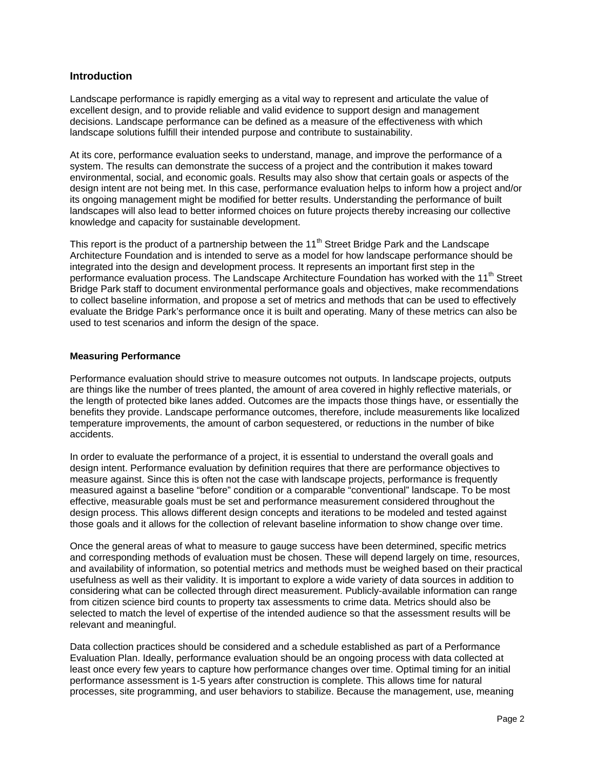# **Introduction**

Landscape performance is rapidly emerging as a vital way to represent and articulate the value of excellent design, and to provide reliable and valid evidence to support design and management decisions. Landscape performance can be defined as a measure of the effectiveness with which landscape solutions fulfill their intended purpose and contribute to sustainability.

At its core, performance evaluation seeks to understand, manage, and improve the performance of a system. The results can demonstrate the success of a project and the contribution it makes toward environmental, social, and economic goals. Results may also show that certain goals or aspects of the design intent are not being met. In this case, performance evaluation helps to inform how a project and/or its ongoing management might be modified for better results. Understanding the performance of built landscapes will also lead to better informed choices on future projects thereby increasing our collective knowledge and capacity for sustainable development.

This report is the product of a partnership between the  $11<sup>th</sup>$  Street Bridge Park and the Landscape Architecture Foundation and is intended to serve as a model for how landscape performance should be integrated into the design and development process. It represents an important first step in the performance evaluation process. The Landscape Architecture Foundation has worked with the 11<sup>th</sup> Street Bridge Park staff to document environmental performance goals and objectives, make recommendations to collect baseline information, and propose a set of metrics and methods that can be used to effectively evaluate the Bridge Park's performance once it is built and operating. Many of these metrics can also be used to test scenarios and inform the design of the space.

#### **Measuring Performance**

Performance evaluation should strive to measure outcomes not outputs. In landscape projects, outputs are things like the number of trees planted, the amount of area covered in highly reflective materials, or the length of protected bike lanes added. Outcomes are the impacts those things have, or essentially the benefits they provide. Landscape performance outcomes, therefore, include measurements like localized temperature improvements, the amount of carbon sequestered, or reductions in the number of bike accidents.

In order to evaluate the performance of a project, it is essential to understand the overall goals and design intent. Performance evaluation by definition requires that there are performance objectives to measure against. Since this is often not the case with landscape projects, performance is frequently measured against a baseline "before" condition or a comparable "conventional" landscape. To be most effective, measurable goals must be set and performance measurement considered throughout the design process. This allows different design concepts and iterations to be modeled and tested against those goals and it allows for the collection of relevant baseline information to show change over time.

Once the general areas of what to measure to gauge success have been determined, specific metrics and corresponding methods of evaluation must be chosen. These will depend largely on time, resources, and availability of information, so potential metrics and methods must be weighed based on their practical usefulness as well as their validity. It is important to explore a wide variety of data sources in addition to considering what can be collected through direct measurement. Publicly-available information can range from citizen science bird counts to property tax assessments to crime data. Metrics should also be selected to match the level of expertise of the intended audience so that the assessment results will be relevant and meaningful.

Data collection practices should be considered and a schedule established as part of a Performance Evaluation Plan. Ideally, performance evaluation should be an ongoing process with data collected at least once every few years to capture how performance changes over time. Optimal timing for an initial performance assessment is 1-5 years after construction is complete. This allows time for natural processes, site programming, and user behaviors to stabilize. Because the management, use, meaning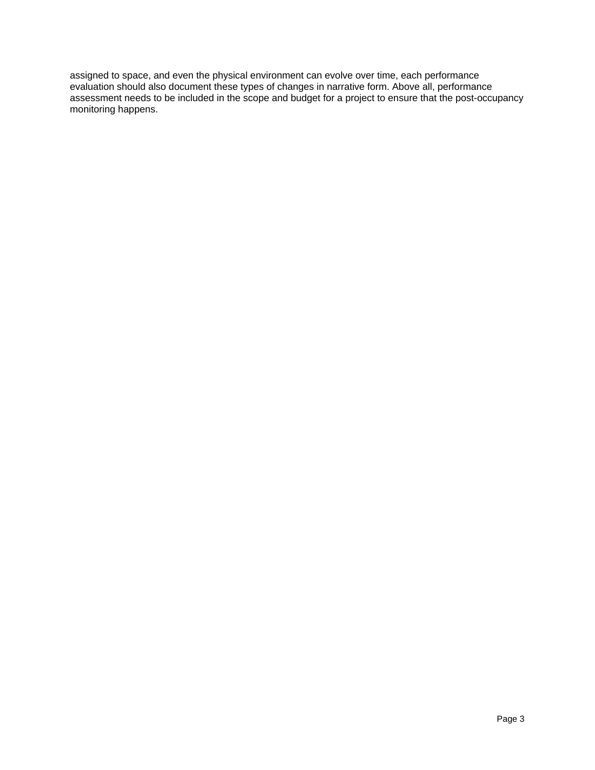assigned to space, and even the physical environment can evolve over time, each performance evaluation should also document these types of changes in narrative form. Above all, performance assessment needs to be included in the scope and budget for a project to ensure that the post-occupancy monitoring happens.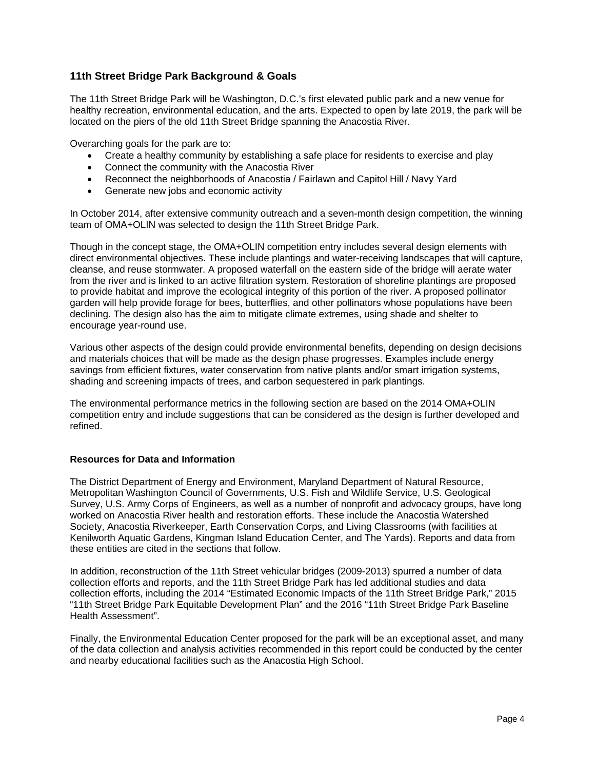# **11th Street Bridge Park Background & Goals**

The 11th Street Bridge Park will be Washington, D.C.'s first elevated public park and a new venue for healthy recreation, environmental education, and the arts. Expected to open by late 2019, the park will be located on the piers of the old 11th Street Bridge spanning the Anacostia River.

Overarching goals for the park are to:

- Create a healthy community by establishing a safe place for residents to exercise and play
- Connect the community with the Anacostia River
- Reconnect the neighborhoods of Anacostia / Fairlawn and Capitol Hill / Navy Yard
- Generate new jobs and economic activity

In October 2014, after extensive community outreach and a seven-month design competition, the winning team of OMA+OLIN was selected to design the 11th Street Bridge Park.

Though in the concept stage, the OMA+OLIN competition entry includes several design elements with direct environmental objectives. These include plantings and water-receiving landscapes that will capture, cleanse, and reuse stormwater. A proposed waterfall on the eastern side of the bridge will aerate water from the river and is linked to an active filtration system. Restoration of shoreline plantings are proposed to provide habitat and improve the ecological integrity of this portion of the river. A proposed pollinator garden will help provide forage for bees, butterflies, and other pollinators whose populations have been declining. The design also has the aim to mitigate climate extremes, using shade and shelter to encourage year-round use.

Various other aspects of the design could provide environmental benefits, depending on design decisions and materials choices that will be made as the design phase progresses. Examples include energy savings from efficient fixtures, water conservation from native plants and/or smart irrigation systems, shading and screening impacts of trees, and carbon sequestered in park plantings.

The environmental performance metrics in the following section are based on the 2014 OMA+OLIN competition entry and include suggestions that can be considered as the design is further developed and refined.

#### **Resources for Data and Information**

The District Department of Energy and Environment, Maryland Department of Natural Resource, Metropolitan Washington Council of Governments, U.S. Fish and Wildlife Service, U.S. Geological Survey, U.S. Army Corps of Engineers, as well as a number of nonprofit and advocacy groups, have long worked on Anacostia River health and restoration efforts. These include the Anacostia Watershed Society, Anacostia Riverkeeper, Earth Conservation Corps, and Living Classrooms (with facilities at Kenilworth Aquatic Gardens, Kingman Island Education Center, and The Yards). Reports and data from these entities are cited in the sections that follow.

In addition, reconstruction of the 11th Street vehicular bridges (2009-2013) spurred a number of data collection efforts and reports, and the 11th Street Bridge Park has led additional studies and data collection efforts, including the 2014 "Estimated Economic Impacts of the 11th Street Bridge Park," 2015 "11th Street Bridge Park Equitable Development Plan" and the 2016 "11th Street Bridge Park Baseline Health Assessment".

Finally, the Environmental Education Center proposed for the park will be an exceptional asset, and many of the data collection and analysis activities recommended in this report could be conducted by the center and nearby educational facilities such as the Anacostia High School.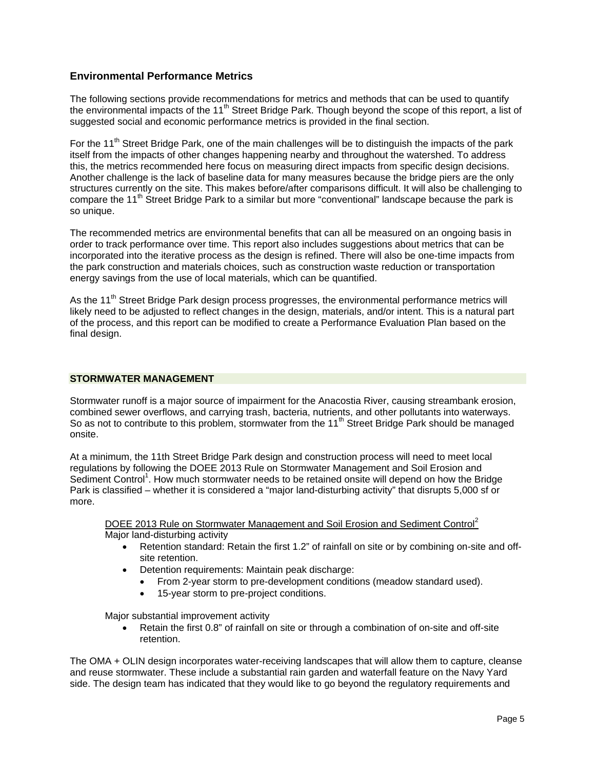# **Environmental Performance Metrics**

The following sections provide recommendations for metrics and methods that can be used to quantify the environmental impacts of the 11<sup>th</sup> Street Bridge Park. Though beyond the scope of this report, a list of suggested social and economic performance metrics is provided in the final section.

For the 11<sup>th</sup> Street Bridge Park, one of the main challenges will be to distinguish the impacts of the park itself from the impacts of other changes happening nearby and throughout the watershed. To address this, the metrics recommended here focus on measuring direct impacts from specific design decisions. Another challenge is the lack of baseline data for many measures because the bridge piers are the only structures currently on the site. This makes before/after comparisons difficult. It will also be challenging to compare the 11<sup>th</sup> Street Bridge Park to a similar but more "conventional" landscape because the park is so unique.

The recommended metrics are environmental benefits that can all be measured on an ongoing basis in order to track performance over time. This report also includes suggestions about metrics that can be incorporated into the iterative process as the design is refined. There will also be one-time impacts from the park construction and materials choices, such as construction waste reduction or transportation energy savings from the use of local materials, which can be quantified.

As the 11<sup>th</sup> Street Bridge Park design process progresses, the environmental performance metrics will likely need to be adjusted to reflect changes in the design, materials, and/or intent. This is a natural part of the process, and this report can be modified to create a Performance Evaluation Plan based on the final design.

# **STORMWATER MANAGEMENT**

Stormwater runoff is a major source of impairment for the Anacostia River, causing streambank erosion, combined sewer overflows, and carrying trash, bacteria, nutrients, and other pollutants into waterways. So as not to contribute to this problem, stormwater from the 11<sup>th</sup> Street Bridge Park should be managed onsite.

At a minimum, the 11th Street Bridge Park design and construction process will need to meet local regulations by following the DOEE 2013 Rule on Stormwater Management and Soil Erosion and Sediment Control<sup>1</sup>. How much stormwater needs to be retained onsite will depend on how the Bridge Park is classified – whether it is considered a "major land-disturbing activity" that disrupts 5,000 sf or more.

DOEE 2013 Rule on Stormwater Management and Soil Erosion and Sediment Control<sup>2</sup> Major land-disturbing activity

- Retention standard: Retain the first 1.2" of rainfall on site or by combining on-site and offsite retention.
- Detention requirements: Maintain peak discharge:
	- From 2-year storm to pre-development conditions (meadow standard used).
	- 15-year storm to pre-project conditions.

Major substantial improvement activity

 Retain the first 0.8" of rainfall on site or through a combination of on-site and off-site retention.

The OMA + OLIN design incorporates water-receiving landscapes that will allow them to capture, cleanse and reuse stormwater. These include a substantial rain garden and waterfall feature on the Navy Yard side. The design team has indicated that they would like to go beyond the regulatory requirements and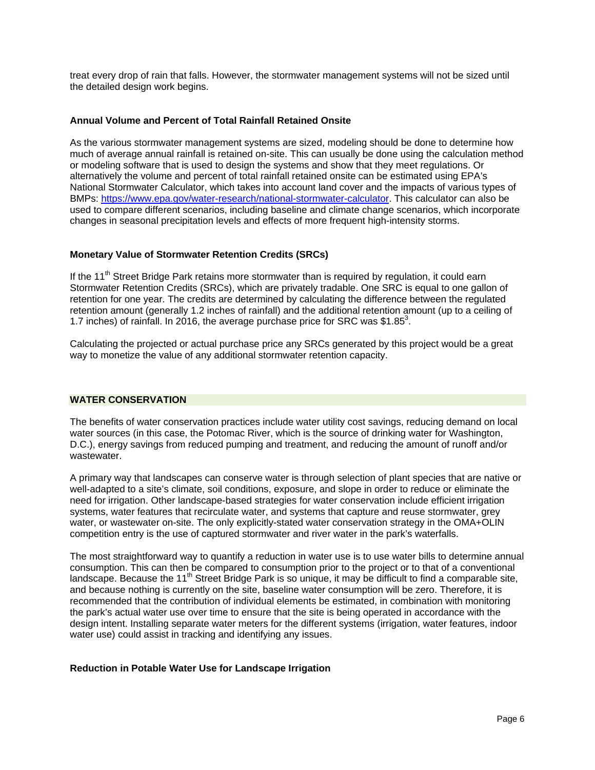treat every drop of rain that falls. However, the stormwater management systems will not be sized until the detailed design work begins.

#### **Annual Volume and Percent of Total Rainfall Retained Onsite**

As the various stormwater management systems are sized, modeling should be done to determine how much of average annual rainfall is retained on-site. This can usually be done using the calculation method or modeling software that is used to design the systems and show that they meet regulations. Or alternatively the volume and percent of total rainfall retained onsite can be estimated using EPA's National Stormwater Calculator, which takes into account land cover and the impacts of various types of BMPs: https://www.epa.gov/water-research/national-stormwater-calculator. This calculator can also be used to compare different scenarios, including baseline and climate change scenarios, which incorporate changes in seasonal precipitation levels and effects of more frequent high-intensity storms.

# **Monetary Value of Stormwater Retention Credits (SRCs)**

If the 11<sup>th</sup> Street Bridge Park retains more stormwater than is required by regulation, it could earn Stormwater Retention Credits (SRCs), which are privately tradable. One SRC is equal to one gallon of retention for one year. The credits are determined by calculating the difference between the regulated retention amount (generally 1.2 inches of rainfall) and the additional retention amount (up to a ceiling of 1.7 inches) of rainfall. In 2016, the average purchase price for SRC was \$1.85 $^3$ .

Calculating the projected or actual purchase price any SRCs generated by this project would be a great way to monetize the value of any additional stormwater retention capacity.

#### **WATER CONSERVATION**

The benefits of water conservation practices include water utility cost savings, reducing demand on local water sources (in this case, the Potomac River, which is the source of drinking water for Washington, D.C.), energy savings from reduced pumping and treatment, and reducing the amount of runoff and/or wastewater.

A primary way that landscapes can conserve water is through selection of plant species that are native or well-adapted to a site's climate, soil conditions, exposure, and slope in order to reduce or eliminate the need for irrigation. Other landscape-based strategies for water conservation include efficient irrigation systems, water features that recirculate water, and systems that capture and reuse stormwater, grey water, or wastewater on-site. The only explicitly-stated water conservation strategy in the OMA+OLIN competition entry is the use of captured stormwater and river water in the park's waterfalls.

The most straightforward way to quantify a reduction in water use is to use water bills to determine annual consumption. This can then be compared to consumption prior to the project or to that of a conventional landscape. Because the  $11<sup>th</sup>$  Street Bridge Park is so unique, it may be difficult to find a comparable site, and because nothing is currently on the site, baseline water consumption will be zero. Therefore, it is recommended that the contribution of individual elements be estimated, in combination with monitoring the park's actual water use over time to ensure that the site is being operated in accordance with the design intent. Installing separate water meters for the different systems (irrigation, water features, indoor water use) could assist in tracking and identifying any issues.

#### **Reduction in Potable Water Use for Landscape Irrigation**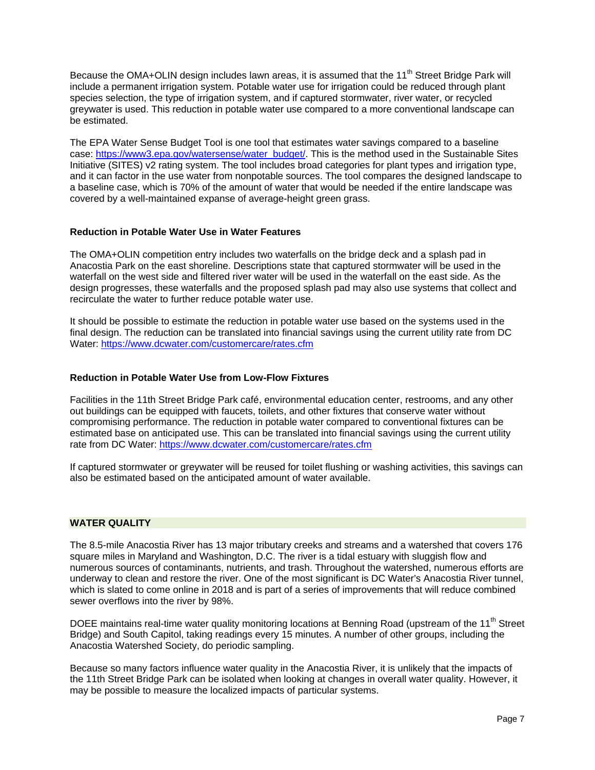Because the OMA+OLIN design includes lawn areas, it is assumed that the 11<sup>th</sup> Street Bridge Park will include a permanent irrigation system. Potable water use for irrigation could be reduced through plant species selection, the type of irrigation system, and if captured stormwater, river water, or recycled greywater is used. This reduction in potable water use compared to a more conventional landscape can be estimated.

The EPA Water Sense Budget Tool is one tool that estimates water savings compared to a baseline case: https://www3.epa.gov/watersense/water\_budget/. This is the method used in the Sustainable Sites Initiative (SITES) v2 rating system. The tool includes broad categories for plant types and irrigation type, and it can factor in the use water from nonpotable sources. The tool compares the designed landscape to a baseline case, which is 70% of the amount of water that would be needed if the entire landscape was covered by a well-maintained expanse of average-height green grass.

# **Reduction in Potable Water Use in Water Features**

The OMA+OLIN competition entry includes two waterfalls on the bridge deck and a splash pad in Anacostia Park on the east shoreline. Descriptions state that captured stormwater will be used in the waterfall on the west side and filtered river water will be used in the waterfall on the east side. As the design progresses, these waterfalls and the proposed splash pad may also use systems that collect and recirculate the water to further reduce potable water use.

It should be possible to estimate the reduction in potable water use based on the systems used in the final design. The reduction can be translated into financial savings using the current utility rate from DC Water: https://www.dcwater.com/customercare/rates.cfm

#### **Reduction in Potable Water Use from Low-Flow Fixtures**

Facilities in the 11th Street Bridge Park café, environmental education center, restrooms, and any other out buildings can be equipped with faucets, toilets, and other fixtures that conserve water without compromising performance. The reduction in potable water compared to conventional fixtures can be estimated base on anticipated use. This can be translated into financial savings using the current utility rate from DC Water: https://www.dcwater.com/customercare/rates.cfm

If captured stormwater or greywater will be reused for toilet flushing or washing activities, this savings can also be estimated based on the anticipated amount of water available.

#### **WATER QUALITY**

The 8.5-mile Anacostia River has 13 major tributary creeks and streams and a watershed that covers 176 square miles in Maryland and Washington, D.C. The river is a tidal estuary with sluggish flow and numerous sources of contaminants, nutrients, and trash. Throughout the watershed, numerous efforts are underway to clean and restore the river. One of the most significant is DC Water's Anacostia River tunnel, which is slated to come online in 2018 and is part of a series of improvements that will reduce combined sewer overflows into the river by 98%.

DOEE maintains real-time water quality monitoring locations at Benning Road (upstream of the 11<sup>th</sup> Street Bridge) and South Capitol, taking readings every 15 minutes. A number of other groups, including the Anacostia Watershed Society, do periodic sampling.

Because so many factors influence water quality in the Anacostia River, it is unlikely that the impacts of the 11th Street Bridge Park can be isolated when looking at changes in overall water quality. However, it may be possible to measure the localized impacts of particular systems.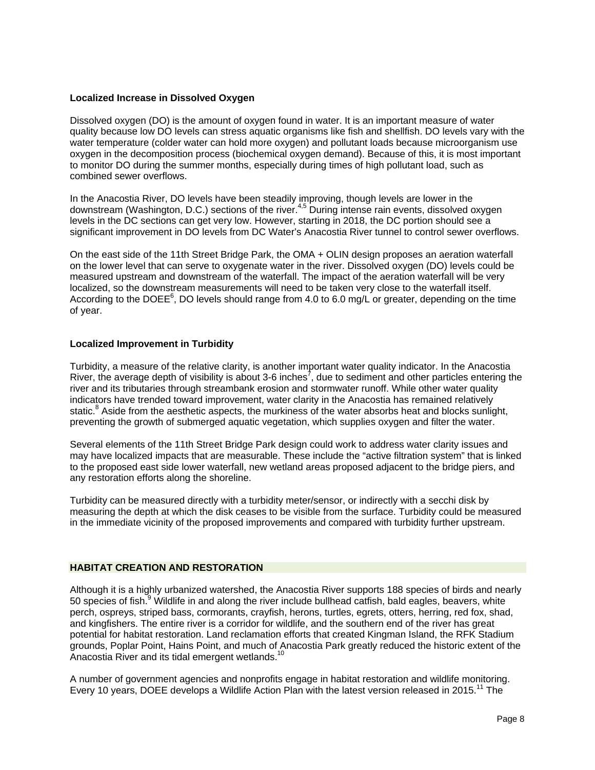#### **Localized Increase in Dissolved Oxygen**

Dissolved oxygen (DO) is the amount of oxygen found in water. It is an important measure of water quality because low DO levels can stress aquatic organisms like fish and shellfish. DO levels vary with the water temperature (colder water can hold more oxygen) and pollutant loads because microorganism use oxygen in the decomposition process (biochemical oxygen demand). Because of this, it is most important to monitor DO during the summer months, especially during times of high pollutant load, such as combined sewer overflows.

In the Anacostia River, DO levels have been steadily improving, though levels are lower in the downstream (Washington, D.C.) sections of the river.<sup>4,5</sup> During intense rain events, dissolved oxygen levels in the DC sections can get very low. However, starting in 2018, the DC portion should see a significant improvement in DO levels from DC Water's Anacostia River tunnel to control sewer overflows.

On the east side of the 11th Street Bridge Park, the OMA + OLIN design proposes an aeration waterfall on the lower level that can serve to oxygenate water in the river. Dissolved oxygen (DO) levels could be measured upstream and downstream of the waterfall. The impact of the aeration waterfall will be very localized, so the downstream measurements will need to be taken very close to the waterfall itself. According to the DOEE<sup>6</sup>, DO levels should range from 4.0 to 6.0 mg/L or greater, depending on the time of year.

#### **Localized Improvement in Turbidity**

Turbidity, a measure of the relative clarity, is another important water quality indicator. In the Anacostia River, the average depth of visibility is about 3-6 inches<sup>7</sup>, due to sediment and other particles entering the river and its tributaries through streambank erosion and stormwater runoff. While other water quality indicators have trended toward improvement, water clarity in the Anacostia has remained relatively static.<sup>8</sup> Aside from the aesthetic aspects, the murkiness of the water absorbs heat and blocks sunlight, preventing the growth of submerged aquatic vegetation, which supplies oxygen and filter the water.

Several elements of the 11th Street Bridge Park design could work to address water clarity issues and may have localized impacts that are measurable. These include the "active filtration system" that is linked to the proposed east side lower waterfall, new wetland areas proposed adjacent to the bridge piers, and any restoration efforts along the shoreline.

Turbidity can be measured directly with a turbidity meter/sensor, or indirectly with a secchi disk by measuring the depth at which the disk ceases to be visible from the surface. Turbidity could be measured in the immediate vicinity of the proposed improvements and compared with turbidity further upstream.

## **HABITAT CREATION AND RESTORATION**

Although it is a highly urbanized watershed, the Anacostia River supports 188 species of birds and nearly 50 species of fish.<sup>9</sup> Wildlife in and along the river include bullhead catfish, bald eagles, beavers, white perch, ospreys, striped bass, cormorants, crayfish, herons, turtles, egrets, otters, herring, red fox, shad, and kingfishers. The entire river is a corridor for wildlife, and the southern end of the river has great potential for habitat restoration. Land reclamation efforts that created Kingman Island, the RFK Stadium grounds, Poplar Point, Hains Point, and much of Anacostia Park greatly reduced the historic extent of the Anacostia River and its tidal emergent wetlands.<sup>10</sup>

A number of government agencies and nonprofits engage in habitat restoration and wildlife monitoring. Every 10 years, DOEE develops a Wildlife Action Plan with the latest version released in 2015.<sup>11</sup> The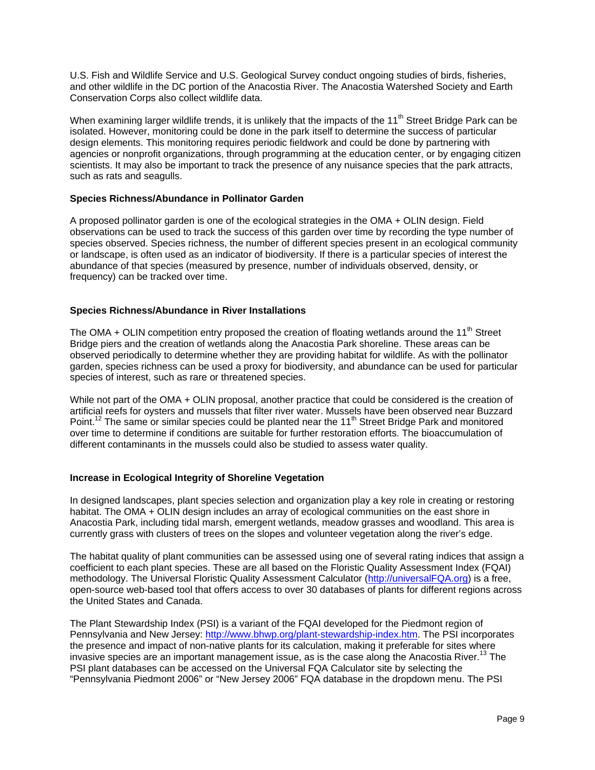U.S. Fish and Wildlife Service and U.S. Geological Survey conduct ongoing studies of birds, fisheries, and other wildlife in the DC portion of the Anacostia River. The Anacostia Watershed Society and Earth Conservation Corps also collect wildlife data.

When examining larger wildlife trends, it is unlikely that the impacts of the 11<sup>th</sup> Street Bridge Park can be isolated. However, monitoring could be done in the park itself to determine the success of particular design elements. This monitoring requires periodic fieldwork and could be done by partnering with agencies or nonprofit organizations, through programming at the education center, or by engaging citizen scientists. It may also be important to track the presence of any nuisance species that the park attracts, such as rats and seagulls.

# **Species Richness/Abundance in Pollinator Garden**

A proposed pollinator garden is one of the ecological strategies in the OMA + OLIN design. Field observations can be used to track the success of this garden over time by recording the type number of species observed. Species richness, the number of different species present in an ecological community or landscape, is often used as an indicator of biodiversity. If there is a particular species of interest the abundance of that species (measured by presence, number of individuals observed, density, or frequency) can be tracked over time.

# **Species Richness/Abundance in River Installations**

The OMA + OLIN competition entry proposed the creation of floating wetlands around the 11<sup>th</sup> Street Bridge piers and the creation of wetlands along the Anacostia Park shoreline. These areas can be observed periodically to determine whether they are providing habitat for wildlife. As with the pollinator garden, species richness can be used a proxy for biodiversity, and abundance can be used for particular species of interest, such as rare or threatened species.

While not part of the OMA + OLIN proposal, another practice that could be considered is the creation of artificial reefs for oysters and mussels that filter river water. Mussels have been observed near Buzzard Point.<sup>12</sup> The same or similar species could be planted near the 11<sup>th</sup> Street Bridge Park and monitored over time to determine if conditions are suitable for further restoration efforts. The bioaccumulation of different contaminants in the mussels could also be studied to assess water quality.

#### **Increase in Ecological Integrity of Shoreline Vegetation**

In designed landscapes, plant species selection and organization play a key role in creating or restoring habitat. The OMA + OLIN design includes an array of ecological communities on the east shore in Anacostia Park, including tidal marsh, emergent wetlands, meadow grasses and woodland. This area is currently grass with clusters of trees on the slopes and volunteer vegetation along the river's edge.

The habitat quality of plant communities can be assessed using one of several rating indices that assign a coefficient to each plant species. These are all based on the Floristic Quality Assessment Index (FQAI) methodology. The Universal Floristic Quality Assessment Calculator (http://universalFQA.org) is a free, open-source web-based tool that offers access to over 30 databases of plants for different regions across the United States and Canada.

The Plant Stewardship Index (PSI) is a variant of the FQAI developed for the Piedmont region of Pennsylvania and New Jersey: http://www.bhwp.org/plant-stewardship-index.htm. The PSI incorporates the presence and impact of non-native plants for its calculation, making it preferable for sites where invasive species are an important management issue, as is the case along the Anacostia River.<sup>13</sup> The PSI plant databases can be accessed on the Universal FQA Calculator site by selecting the "Pennsylvania Piedmont 2006" or "New Jersey 2006" FQA database in the dropdown menu. The PSI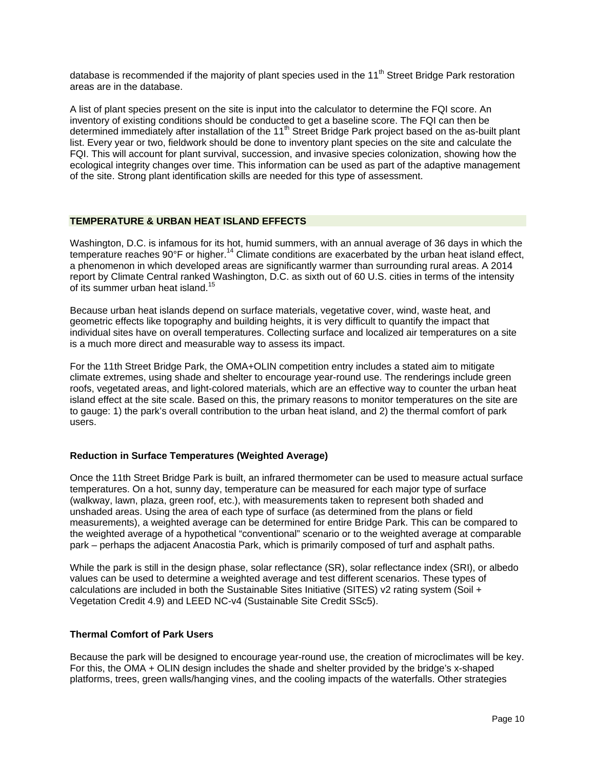database is recommended if the majority of plant species used in the 11<sup>th</sup> Street Bridge Park restoration areas are in the database.

A list of plant species present on the site is input into the calculator to determine the FQI score. An inventory of existing conditions should be conducted to get a baseline score. The FQI can then be determined immediately after installation of the 11<sup>th</sup> Street Bridge Park project based on the as-built plant list. Every year or two, fieldwork should be done to inventory plant species on the site and calculate the FQI. This will account for plant survival, succession, and invasive species colonization, showing how the ecological integrity changes over time. This information can be used as part of the adaptive management of the site. Strong plant identification skills are needed for this type of assessment.

# **TEMPERATURE & URBAN HEAT ISLAND EFFECTS**

Washington, D.C. is infamous for its hot, humid summers, with an annual average of 36 days in which the temperature reaches 90°F or higher.<sup>14</sup> Climate conditions are exacerbated by the urban heat island effect, a phenomenon in which developed areas are significantly warmer than surrounding rural areas. A 2014 report by Climate Central ranked Washington, D.C. as sixth out of 60 U.S. cities in terms of the intensity of its summer urban heat island.<sup>15</sup>

Because urban heat islands depend on surface materials, vegetative cover, wind, waste heat, and geometric effects like topography and building heights, it is very difficult to quantify the impact that individual sites have on overall temperatures. Collecting surface and localized air temperatures on a site is a much more direct and measurable way to assess its impact.

For the 11th Street Bridge Park, the OMA+OLIN competition entry includes a stated aim to mitigate climate extremes, using shade and shelter to encourage year-round use. The renderings include green roofs, vegetated areas, and light-colored materials, which are an effective way to counter the urban heat island effect at the site scale. Based on this, the primary reasons to monitor temperatures on the site are to gauge: 1) the park's overall contribution to the urban heat island, and 2) the thermal comfort of park users.

#### **Reduction in Surface Temperatures (Weighted Average)**

Once the 11th Street Bridge Park is built, an infrared thermometer can be used to measure actual surface temperatures. On a hot, sunny day, temperature can be measured for each major type of surface (walkway, lawn, plaza, green roof, etc.), with measurements taken to represent both shaded and unshaded areas. Using the area of each type of surface (as determined from the plans or field measurements), a weighted average can be determined for entire Bridge Park. This can be compared to the weighted average of a hypothetical "conventional" scenario or to the weighted average at comparable park – perhaps the adjacent Anacostia Park, which is primarily composed of turf and asphalt paths.

While the park is still in the design phase, solar reflectance (SR), solar reflectance index (SRI), or albedo values can be used to determine a weighted average and test different scenarios. These types of calculations are included in both the Sustainable Sites Initiative (SITES) v2 rating system (Soil + Vegetation Credit 4.9) and LEED NC-v4 (Sustainable Site Credit SSc5).

#### **Thermal Comfort of Park Users**

Because the park will be designed to encourage year-round use, the creation of microclimates will be key. For this, the OMA + OLIN design includes the shade and shelter provided by the bridge's x-shaped platforms, trees, green walls/hanging vines, and the cooling impacts of the waterfalls. Other strategies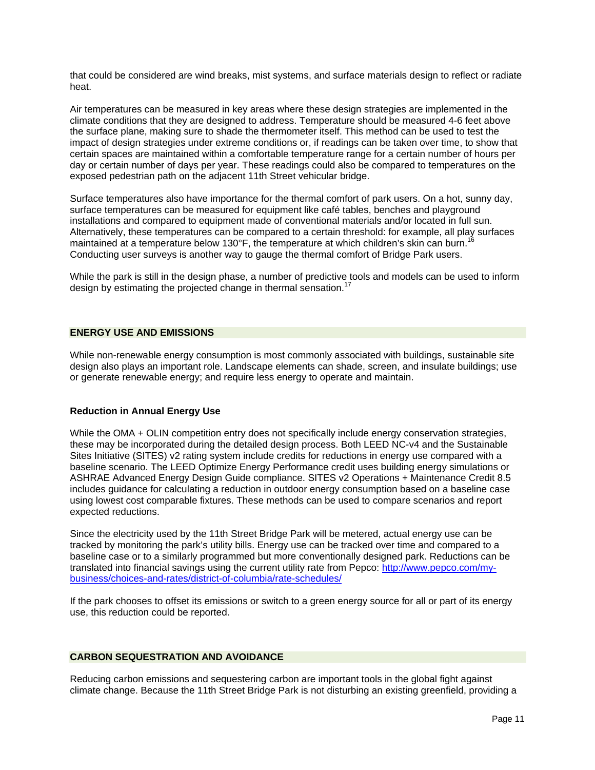that could be considered are wind breaks, mist systems, and surface materials design to reflect or radiate heat.

Air temperatures can be measured in key areas where these design strategies are implemented in the climate conditions that they are designed to address. Temperature should be measured 4-6 feet above the surface plane, making sure to shade the thermometer itself. This method can be used to test the impact of design strategies under extreme conditions or, if readings can be taken over time, to show that certain spaces are maintained within a comfortable temperature range for a certain number of hours per day or certain number of days per year. These readings could also be compared to temperatures on the exposed pedestrian path on the adjacent 11th Street vehicular bridge.

Surface temperatures also have importance for the thermal comfort of park users. On a hot, sunny day, surface temperatures can be measured for equipment like café tables, benches and playground installations and compared to equipment made of conventional materials and/or located in full sun. Alternatively, these temperatures can be compared to a certain threshold: for example, all play surfaces maintained at a temperature below 130°F, the temperature at which children's skin can burn.<sup>1</sup> Conducting user surveys is another way to gauge the thermal comfort of Bridge Park users.

While the park is still in the design phase, a number of predictive tools and models can be used to inform design by estimating the projected change in thermal sensation.<sup>17</sup>

#### **ENERGY USE AND EMISSIONS**

While non-renewable energy consumption is most commonly associated with buildings, sustainable site design also plays an important role. Landscape elements can shade, screen, and insulate buildings; use or generate renewable energy; and require less energy to operate and maintain.

#### **Reduction in Annual Energy Use**

While the OMA + OLIN competition entry does not specifically include energy conservation strategies, these may be incorporated during the detailed design process. Both LEED NC-v4 and the Sustainable Sites Initiative (SITES) v2 rating system include credits for reductions in energy use compared with a baseline scenario. The LEED Optimize Energy Performance credit uses building energy simulations or ASHRAE Advanced Energy Design Guide compliance. SITES v2 Operations + Maintenance Credit 8.5 includes guidance for calculating a reduction in outdoor energy consumption based on a baseline case using lowest cost comparable fixtures. These methods can be used to compare scenarios and report expected reductions.

Since the electricity used by the 11th Street Bridge Park will be metered, actual energy use can be tracked by monitoring the park's utility bills. Energy use can be tracked over time and compared to a baseline case or to a similarly programmed but more conventionally designed park. Reductions can be translated into financial savings using the current utility rate from Pepco: http://www.pepco.com/mybusiness/choices-and-rates/district-of-columbia/rate-schedules/

If the park chooses to offset its emissions or switch to a green energy source for all or part of its energy use, this reduction could be reported.

# **CARBON SEQUESTRATION AND AVOIDANCE**

Reducing carbon emissions and sequestering carbon are important tools in the global fight against climate change. Because the 11th Street Bridge Park is not disturbing an existing greenfield, providing a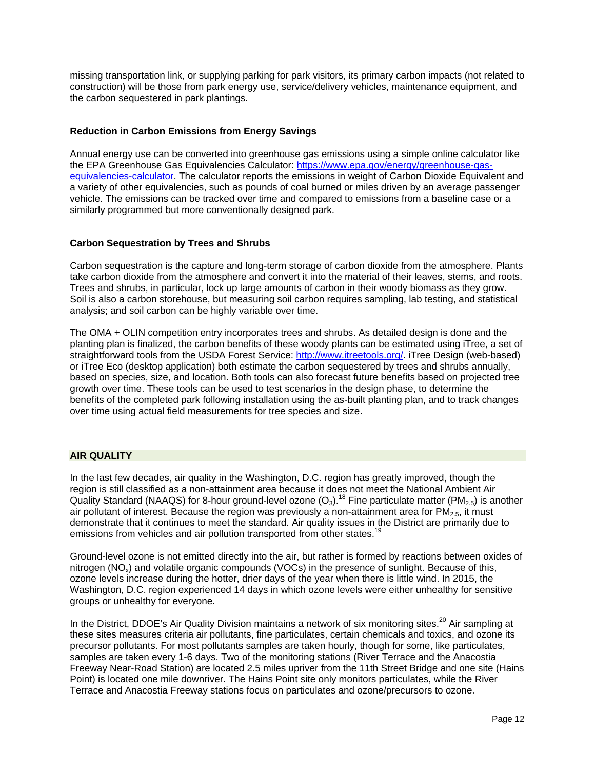missing transportation link, or supplying parking for park visitors, its primary carbon impacts (not related to construction) will be those from park energy use, service/delivery vehicles, maintenance equipment, and the carbon sequestered in park plantings.

# **Reduction in Carbon Emissions from Energy Savings**

Annual energy use can be converted into greenhouse gas emissions using a simple online calculator like the EPA Greenhouse Gas Equivalencies Calculator: https://www.epa.gov/energy/greenhouse-gasequivalencies-calculator. The calculator reports the emissions in weight of Carbon Dioxide Equivalent and a variety of other equivalencies, such as pounds of coal burned or miles driven by an average passenger vehicle. The emissions can be tracked over time and compared to emissions from a baseline case or a similarly programmed but more conventionally designed park.

#### **Carbon Sequestration by Trees and Shrubs**

Carbon sequestration is the capture and long-term storage of carbon dioxide from the atmosphere. Plants take carbon dioxide from the atmosphere and convert it into the material of their leaves, stems, and roots. Trees and shrubs, in particular, lock up large amounts of carbon in their woody biomass as they grow. Soil is also a carbon storehouse, but measuring soil carbon requires sampling, lab testing, and statistical analysis; and soil carbon can be highly variable over time.

The OMA + OLIN competition entry incorporates trees and shrubs. As detailed design is done and the planting plan is finalized, the carbon benefits of these woody plants can be estimated using iTree, a set of straightforward tools from the USDA Forest Service: http://www.itreetools.org/. iTree Design (web-based) or iTree Eco (desktop application) both estimate the carbon sequestered by trees and shrubs annually, based on species, size, and location. Both tools can also forecast future benefits based on projected tree growth over time. These tools can be used to test scenarios in the design phase, to determine the benefits of the completed park following installation using the as-built planting plan, and to track changes over time using actual field measurements for tree species and size.

### **AIR QUALITY**

In the last few decades, air quality in the Washington, D.C. region has greatly improved, though the region is still classified as a non-attainment area because it does not meet the National Ambient Air Quality Standard (NAAQS) for 8-hour ground-level ozone  $(O_3)$ .<sup>18</sup> Fine particulate matter (PM<sub>2.5</sub>) is another air pollutant of interest. Because the region was previously a non-attainment area for  $PM_{2.5}$ , it must demonstrate that it continues to meet the standard. Air quality issues in the District are primarily due to emissions from vehicles and air pollution transported from other states.

Ground-level ozone is not emitted directly into the air, but rather is formed by reactions between oxides of nitrogen (NO<sub>x</sub>) and volatile organic compounds (VOCs) in the presence of sunlight. Because of this, ozone levels increase during the hotter, drier days of the year when there is little wind. In 2015, the Washington, D.C. region experienced 14 days in which ozone levels were either unhealthy for sensitive groups or unhealthy for everyone.

In the District, DDOE's Air Quality Division maintains a network of six monitoring sites.<sup>20</sup> Air sampling at these sites measures criteria air pollutants, fine particulates, certain chemicals and toxics, and ozone its precursor pollutants. For most pollutants samples are taken hourly, though for some, like particulates, samples are taken every 1-6 days. Two of the monitoring stations (River Terrace and the Anacostia Freeway Near-Road Station) are located 2.5 miles upriver from the 11th Street Bridge and one site (Hains Point) is located one mile downriver. The Hains Point site only monitors particulates, while the River Terrace and Anacostia Freeway stations focus on particulates and ozone/precursors to ozone.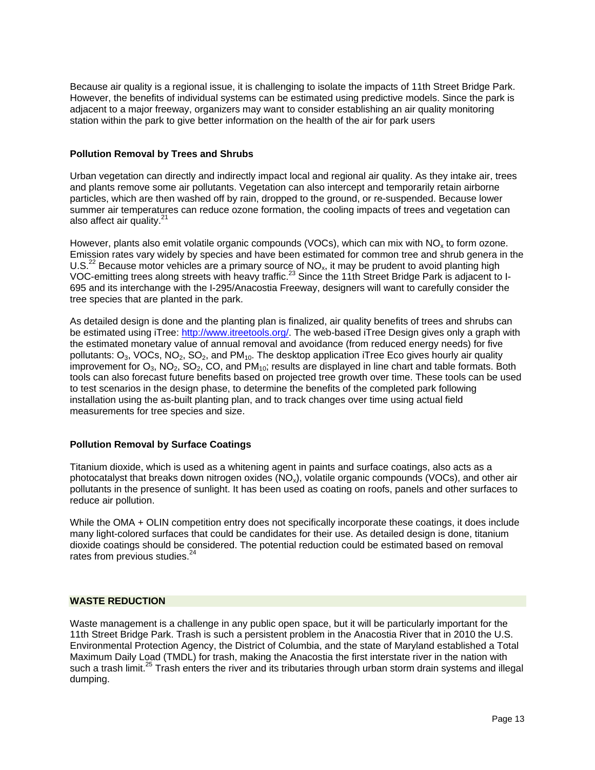Because air quality is a regional issue, it is challenging to isolate the impacts of 11th Street Bridge Park. However, the benefits of individual systems can be estimated using predictive models. Since the park is adjacent to a major freeway, organizers may want to consider establishing an air quality monitoring station within the park to give better information on the health of the air for park users

#### **Pollution Removal by Trees and Shrubs**

Urban vegetation can directly and indirectly impact local and regional air quality. As they intake air, trees and plants remove some air pollutants. Vegetation can also intercept and temporarily retain airborne particles, which are then washed off by rain, dropped to the ground, or re-suspended. Because lower summer air temperatures can reduce ozone formation, the cooling impacts of trees and vegetation can also affect air quality.<sup>21</sup>

However, plants also emit volatile organic compounds (VOCs), which can mix with  $NO<sub>x</sub>$  to form ozone. Emission rates vary widely by species and have been estimated for common tree and shrub genera in the U.S.<sup>22</sup> Because motor vehicles are a primary source of  $NO<sub>x</sub>$ , it may be prudent to avoid planting high VOC-emitting trees along streets with heavy traffic.<sup>23</sup> Since the 11th Street Bridge Park is adjacent to I-695 and its interchange with the I-295/Anacostia Freeway, designers will want to carefully consider the tree species that are planted in the park.

As detailed design is done and the planting plan is finalized, air quality benefits of trees and shrubs can be estimated using iTree: http://www.itreetools.org/. The web-based iTree Design gives only a graph with the estimated monetary value of annual removal and avoidance (from reduced energy needs) for five pollutants:  $O_3$ , VOCs, NO<sub>2</sub>, SO<sub>2</sub>, and PM<sub>10</sub>. The desktop application iTree Eco gives hourly air quality improvement for  $O_3$ , NO<sub>2</sub>, SO<sub>2</sub>, CO, and PM<sub>10</sub>; results are displayed in line chart and table formats. Both tools can also forecast future benefits based on projected tree growth over time. These tools can be used to test scenarios in the design phase, to determine the benefits of the completed park following installation using the as-built planting plan, and to track changes over time using actual field measurements for tree species and size.

#### **Pollution Removal by Surface Coatings**

Titanium dioxide, which is used as a whitening agent in paints and surface coatings, also acts as a photocatalyst that breaks down nitrogen oxides  $(NO<sub>x</sub>)$ , volatile organic compounds (VOCs), and other air pollutants in the presence of sunlight. It has been used as coating on roofs, panels and other surfaces to reduce air pollution.

While the OMA + OLIN competition entry does not specifically incorporate these coatings, it does include many light-colored surfaces that could be candidates for their use. As detailed design is done, titanium dioxide coatings should be considered. The potential reduction could be estimated based on removal rates from previous studies.<sup>24</sup>

#### **WASTE REDUCTION**

Waste management is a challenge in any public open space, but it will be particularly important for the 11th Street Bridge Park. Trash is such a persistent problem in the Anacostia River that in 2010 the U.S. Environmental Protection Agency, the District of Columbia, and the state of Maryland established a Total Maximum Daily Load (TMDL) for trash, making the Anacostia the first interstate river in the nation with such a trash limit.<sup>25</sup> Trash enters the river and its tributaries through urban storm drain systems and illegal dumping.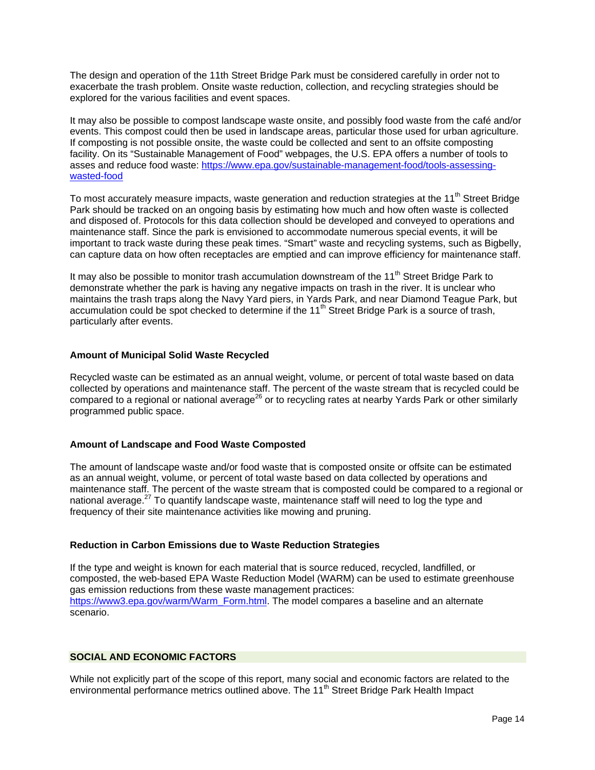The design and operation of the 11th Street Bridge Park must be considered carefully in order not to exacerbate the trash problem. Onsite waste reduction, collection, and recycling strategies should be explored for the various facilities and event spaces.

It may also be possible to compost landscape waste onsite, and possibly food waste from the café and/or events. This compost could then be used in landscape areas, particular those used for urban agriculture. If composting is not possible onsite, the waste could be collected and sent to an offsite composting facility. On its "Sustainable Management of Food" webpages, the U.S. EPA offers a number of tools to asses and reduce food waste: https://www.epa.gov/sustainable-management-food/tools-assessingwasted-food

To most accurately measure impacts, waste generation and reduction strategies at the 11<sup>th</sup> Street Bridge Park should be tracked on an ongoing basis by estimating how much and how often waste is collected and disposed of. Protocols for this data collection should be developed and conveyed to operations and maintenance staff. Since the park is envisioned to accommodate numerous special events, it will be important to track waste during these peak times. "Smart" waste and recycling systems, such as Bigbelly, can capture data on how often receptacles are emptied and can improve efficiency for maintenance staff.

It may also be possible to monitor trash accumulation downstream of the 11<sup>th</sup> Street Bridge Park to demonstrate whether the park is having any negative impacts on trash in the river. It is unclear who maintains the trash traps along the Navy Yard piers, in Yards Park, and near Diamond Teague Park, but accumulation could be spot checked to determine if the 11<sup>th</sup> Street Bridge Park is a source of trash, particularly after events.

#### **Amount of Municipal Solid Waste Recycled**

Recycled waste can be estimated as an annual weight, volume, or percent of total waste based on data collected by operations and maintenance staff. The percent of the waste stream that is recycled could be compared to a regional or national average<sup>26</sup> or to recycling rates at nearby Yards Park or other similarly programmed public space.

#### **Amount of Landscape and Food Waste Composted**

The amount of landscape waste and/or food waste that is composted onsite or offsite can be estimated as an annual weight, volume, or percent of total waste based on data collected by operations and maintenance staff. The percent of the waste stream that is composted could be compared to a regional or national average.<sup>27</sup> To quantify landscape waste, maintenance staff will need to log the type and frequency of their site maintenance activities like mowing and pruning.

#### **Reduction in Carbon Emissions due to Waste Reduction Strategies**

If the type and weight is known for each material that is source reduced, recycled, landfilled, or composted, the web-based EPA Waste Reduction Model (WARM) can be used to estimate greenhouse gas emission reductions from these waste management practices: https://www3.epa.gov/warm/Warm\_Form.html. The model compares a baseline and an alternate scenario.

# **SOCIAL AND ECONOMIC FACTORS**

While not explicitly part of the scope of this report, many social and economic factors are related to the environmental performance metrics outlined above. The 11<sup>th</sup> Street Bridge Park Health Impact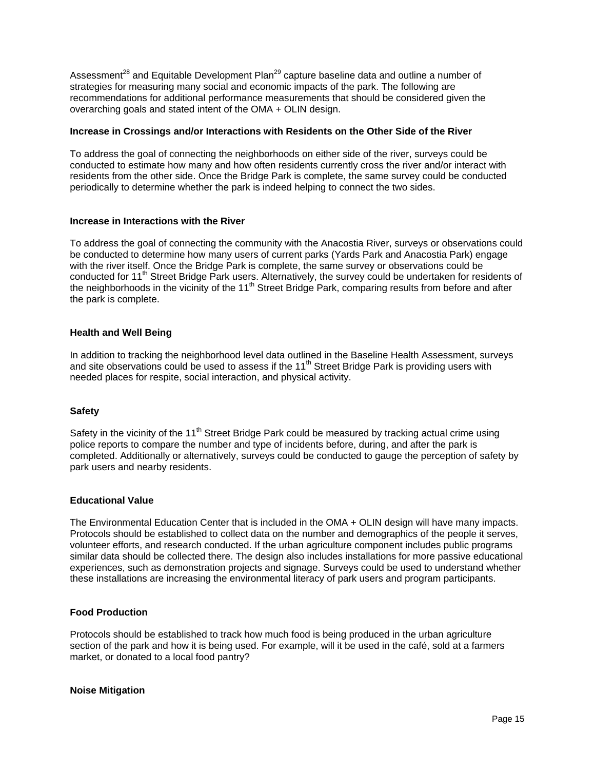Assessment<sup>28</sup> and Equitable Development Plan<sup>29</sup> capture baseline data and outline a number of strategies for measuring many social and economic impacts of the park. The following are recommendations for additional performance measurements that should be considered given the overarching goals and stated intent of the OMA + OLIN design.

## **Increase in Crossings and/or Interactions with Residents on the Other Side of the River**

To address the goal of connecting the neighborhoods on either side of the river, surveys could be conducted to estimate how many and how often residents currently cross the river and/or interact with residents from the other side. Once the Bridge Park is complete, the same survey could be conducted periodically to determine whether the park is indeed helping to connect the two sides.

#### **Increase in Interactions with the River**

To address the goal of connecting the community with the Anacostia River, surveys or observations could be conducted to determine how many users of current parks (Yards Park and Anacostia Park) engage with the river itself. Once the Bridge Park is complete, the same survey or observations could be conducted for 11<sup>th</sup> Street Bridge Park users. Alternatively, the survey could be undertaken for residents of the neighborhoods in the vicinity of the 11<sup>th</sup> Street Bridge Park, comparing results from before and after the park is complete.

# **Health and Well Being**

In addition to tracking the neighborhood level data outlined in the Baseline Health Assessment, surveys and site observations could be used to assess if the  $11<sup>th</sup>$  Street Bridge Park is providing users with needed places for respite, social interaction, and physical activity.

#### **Safety**

Safety in the vicinity of the 11<sup>th</sup> Street Bridge Park could be measured by tracking actual crime using police reports to compare the number and type of incidents before, during, and after the park is completed. Additionally or alternatively, surveys could be conducted to gauge the perception of safety by park users and nearby residents.

#### **Educational Value**

The Environmental Education Center that is included in the OMA + OLIN design will have many impacts. Protocols should be established to collect data on the number and demographics of the people it serves, volunteer efforts, and research conducted. If the urban agriculture component includes public programs similar data should be collected there. The design also includes installations for more passive educational experiences, such as demonstration projects and signage. Surveys could be used to understand whether these installations are increasing the environmental literacy of park users and program participants.

#### **Food Production**

Protocols should be established to track how much food is being produced in the urban agriculture section of the park and how it is being used. For example, will it be used in the café, sold at a farmers market, or donated to a local food pantry?

#### **Noise Mitigation**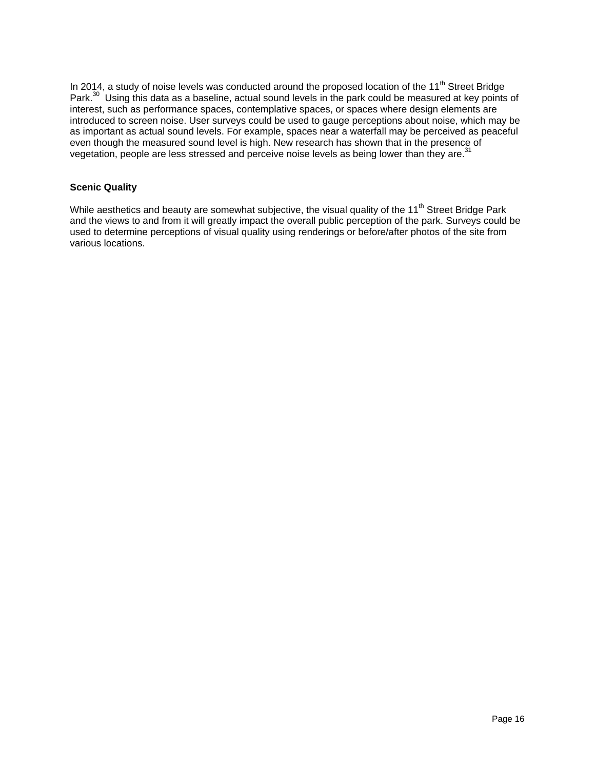In 2014, a study of noise levels was conducted around the proposed location of the 11<sup>th</sup> Street Bridge Park.30 Using this data as a baseline, actual sound levels in the park could be measured at key points of interest, such as performance spaces, contemplative spaces, or spaces where design elements are introduced to screen noise. User surveys could be used to gauge perceptions about noise, which may be as important as actual sound levels. For example, spaces near a waterfall may be perceived as peaceful even though the measured sound level is high. New research has shown that in the presence of vegetation, people are less stressed and perceive noise levels as being lower than they are.<sup>31</sup>

# **Scenic Quality**

While aesthetics and beauty are somewhat subjective, the visual quality of the 11<sup>th</sup> Street Bridge Park and the views to and from it will greatly impact the overall public perception of the park. Surveys could be used to determine perceptions of visual quality using renderings or before/after photos of the site from various locations.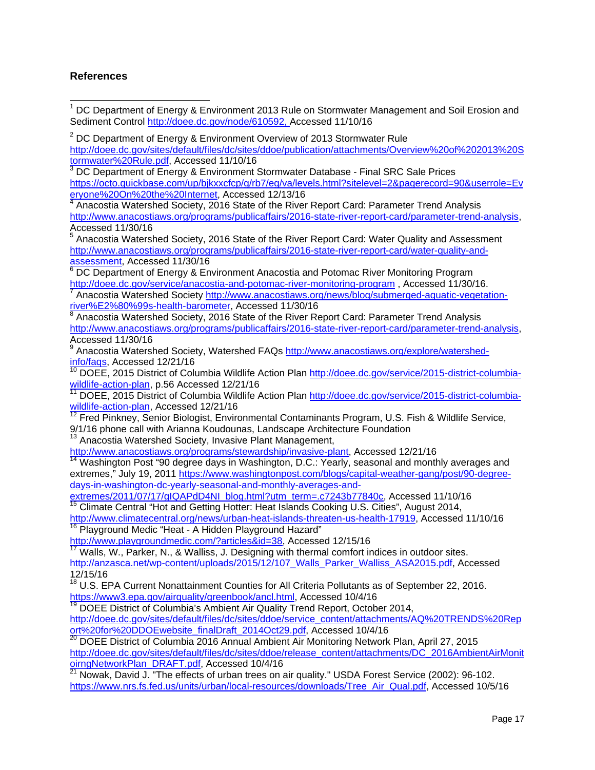# **References**

j

1 DC Department of Energy & Environment 2013 Rule on Stormwater Management and Soil Erosion and Sediment Control http://doee.dc.gov/node/610592, Accessed 11/10/16  $2^{2}$  DC Department of Energy & Environment Overview of 2013 Stormwater Rule http://doee.dc.gov/sites/default/files/dc/sites/ddoe/publication/attachments/Overview%20of%202013%20S tormwater%20Rule.pdf, Accessed 11/10/16  $3$  DC Department of Energy & Environment Stormwater Database - Final SRC Sale Prices https://octo.quickbase.com/up/bjkxxcfcp/g/rb7/eg/va/levels.html?sitelevel=2&pagerecord=90&userrole=Ev eryone%20On%20the%20Internet, Accessed 12/13/16 <sup>4</sup> Anacostia Watershed Society, 2016 State of the River Report Card: Parameter Trend Analysis http://www.anacostiaws.org/programs/publicaffairs/2016-state-river-report-card/parameter-trend-analysis, Accessed 11/30/16 <sup>5</sup> Anacostia Watershed Society, 2016 State of the River Report Card: Water Quality and Assessment http://www.anacostiaws.org/programs/publicaffairs/2016-state-river-report-card/water-quality-andassessment, Accessed 11/30/16 <sup>6</sup> DC Department of Energy & Environment Anacostia and Potomac River Monitoring Program http://doee.dc.gov/service/anacostia-and-potomac-river-monitoring-program, Accessed 11/30/16. Anacostia Watershed Society http://www.anacostiaws.org/news/blog/submerged-aquatic-vegetationriver%E2%80%99s-health-barometer, Accessed 11/30/16  $8$  Anacostia Watershed Society, 2016 State of the River Report Card: Parameter Trend Analysis http://www.anacostiaws.org/programs/publicaffairs/2016-state-river-report-card/parameter-trend-analysis, Accessed 11/30/16 <sup>9</sup> Anacostia Watershed Society, Watershed FAQs http://www.anacostiaws.org/explore/watershedinfo/faqs, Accessed 12/21/16 <sup>10</sup> DOEE, 2015 District of Columbia Wildlife Action Plan http://doee.dc.gov/service/2015-district-columbiawildlife-action-plan, p.56 Accessed 12/21/16<br><sup>11</sup> DOEE, 2015 District of Columbia Wildlife Action Plan http://doee.dc.gov/service/2015-district-columbiawildlife-action-plan, Accessed 12/21/16  $12$  Fred Pinkney, Senior Biologist, Environmental Contaminants Program, U.S. Fish & Wildlife Service, 9/1/16 phone call with Arianna Koudounas, Landscape Architecture Foundation <sup>13</sup> Anacostia Watershed Society, Invasive Plant Management, http://www.anacostiaws.org/programs/stewardship/invasive-plant, Accessed 12/21/16 <sup>14</sup> Washington Post "90 degree days in Washington, D.C.: Yearly, seasonal and monthly averages and extremes," July 19, 2011 https://www.washingtonpost.com/blogs/capital-weather-gang/post/90-degreedays-in-washington-dc-yearly-seasonal-and-monthly-averages-andextremes/2011/07/17/gIQAPdD4NI\_blog.html?utm\_term=.c7243b77840c, Accessed 11/10/16 <sup>15</sup> Climate Central "Hot and Getting Hotter: Heat Islands Cooking U.S. Cities", August 2014, http://www.climatecentral.org/news/urban-heat-islands-threaten-us-health-17919, Accessed 11/10/16 <sup>16</sup> Playground Medic "Heat - A Hidden Playground Hazard" http://www.playgroundmedic.com/?articles&id=38, Accessed 12/15/16 <sup>17</sup> Walls, W., Parker, N., & Walliss, J. Designing with thermal comfort indices in outdoor sites. http://anzasca.net/wp-content/uploads/2015/12/107 Walls\_Parker\_Walliss\_ASA2015.pdf, Accessed 12/15/16 <sup>18</sup> U.S. EPA Current Nonattainment Counties for All Criteria Pollutants as of September 22, 2016. https://www3.epa.gov/airquality/greenbook/ancl.html, Accessed 10/4/16  $19$  DOEE District of Columbia's Ambient Air Quality Trend Report, October 2014, http://doee.dc.gov/sites/default/files/dc/sites/ddoe/service\_content/attachments/AQ%20TRENDS%20Rep ort%20for%20DDOEwebsite\_finalDraft\_2014Oct29.pdf, Accessed 10/4/16  $20$  DOEE District of Columbia 2016 Annual Ambient Air Monitoring Network Plan, April 27, 2015 http://doee.dc.gov/sites/default/files/dc/sites/ddoe/release\_content/attachments/DC\_2016AmbientAirMonit oirngNetworkPlan\_DRAFT.pdf, Accessed 10/4/16  $^{21}$  Nowak, David J. "The effects of urban trees on air quality." USDA Forest Service (2002): 96-102. https://www.nrs.fs.fed.us/units/urban/local-resources/downloads/Tree\_Air\_Qual.pdf, Accessed 10/5/16